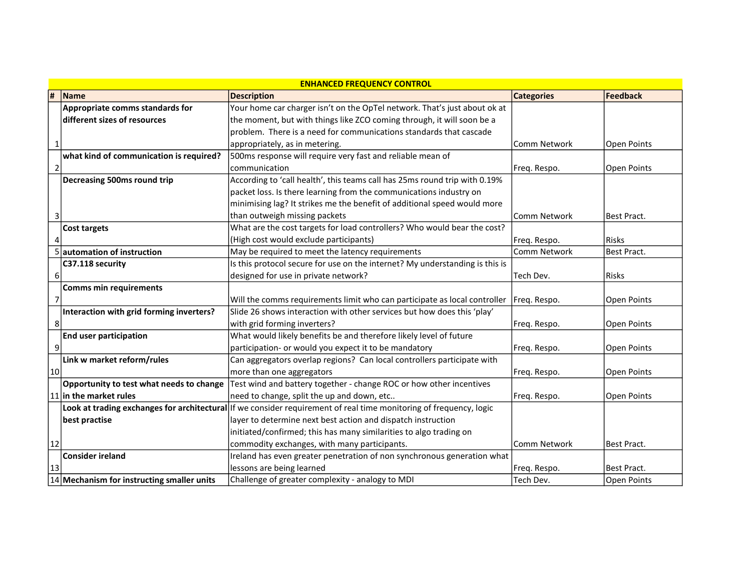| <b>ENHANCED FREQUENCY CONTROL</b> |                                                |                                                                                                                    |                     |                    |  |  |
|-----------------------------------|------------------------------------------------|--------------------------------------------------------------------------------------------------------------------|---------------------|--------------------|--|--|
| ∦                                 | Name                                           | <b>Description</b>                                                                                                 | <b>Categories</b>   | Feedback           |  |  |
|                                   | Appropriate comms standards for                | Your home car charger isn't on the OpTel network. That's just about ok at                                          |                     |                    |  |  |
|                                   | different sizes of resources                   | the moment, but with things like ZCO coming through, it will soon be a                                             |                     |                    |  |  |
|                                   |                                                | problem. There is a need for communications standards that cascade                                                 |                     |                    |  |  |
| 1                                 |                                                | appropriately, as in metering.                                                                                     | <b>Comm Network</b> | <b>Open Points</b> |  |  |
|                                   | what kind of communication is required?        | 500ms response will require very fast and reliable mean of                                                         |                     |                    |  |  |
| $\overline{2}$                    |                                                | communication                                                                                                      | Freq. Respo.        | Open Points        |  |  |
|                                   | Decreasing 500ms round trip                    | According to 'call health', this teams call has 25ms round trip with 0.19%                                         |                     |                    |  |  |
|                                   |                                                | packet loss. Is there learning from the communications industry on                                                 |                     |                    |  |  |
|                                   |                                                | minimising lag? It strikes me the benefit of additional speed would more                                           |                     |                    |  |  |
| 3                                 |                                                | than outweigh missing packets                                                                                      | Comm Network        | Best Pract.        |  |  |
|                                   | <b>Cost targets</b>                            | What are the cost targets for load controllers? Who would bear the cost?                                           |                     |                    |  |  |
|                                   |                                                | (High cost would exclude participants)                                                                             | Freq. Respo.        | <b>Risks</b>       |  |  |
|                                   | 5 automation of instruction                    | May be required to meet the latency requirements                                                                   | <b>Comm Network</b> | Best Pract.        |  |  |
|                                   | C37.118 security                               | Is this protocol secure for use on the internet? My understanding is this is                                       |                     |                    |  |  |
| 6                                 |                                                | designed for use in private network?                                                                               | lTech Dev.          | Risks              |  |  |
|                                   | <b>Comms min requirements</b>                  |                                                                                                                    |                     |                    |  |  |
| 7                                 |                                                | Will the comms requirements limit who can participate as local controller                                          | Freq. Respo.        | Open Points        |  |  |
|                                   | Interaction with grid forming inverters?       | Slide 26 shows interaction with other services but how does this 'play'                                            |                     |                    |  |  |
| 8                                 |                                                | with grid forming inverters?                                                                                       | Freq. Respo.        | <b>Open Points</b> |  |  |
|                                   | <b>End user participation</b>                  | What would likely benefits be and therefore likely level of future                                                 |                     |                    |  |  |
| 9                                 |                                                | participation- or would you expect it to be mandatory                                                              | Freq. Respo.        | <b>Open Points</b> |  |  |
|                                   | Link w market reform/rules                     | Can aggregators overlap regions? Can local controllers participate with                                            |                     |                    |  |  |
| 10                                |                                                | more than one aggregators                                                                                          | Freq. Respo.        | <b>Open Points</b> |  |  |
|                                   | Opportunity to test what needs to change       | Test wind and battery together - change ROC or how other incentives                                                |                     |                    |  |  |
|                                   | $ 11 $ in the market rules                     | need to change, split the up and down, etc                                                                         | Freq. Respo.        | Open Points        |  |  |
|                                   |                                                | Look at trading exchanges for architectural If we consider requirement of real time monitoring of frequency, logic |                     |                    |  |  |
|                                   | best practise                                  | layer to determine next best action and dispatch instruction                                                       |                     |                    |  |  |
|                                   |                                                | initiated/confirmed; this has many similarities to algo trading on                                                 |                     |                    |  |  |
| 12                                |                                                | commodity exchanges, with many participants.                                                                       | Comm Network        | Best Pract.        |  |  |
|                                   | <b>Consider ireland</b>                        | Ireland has even greater penetration of non synchronous generation what                                            |                     |                    |  |  |
| 13                                |                                                | lessons are being learned                                                                                          | Freq. Respo.        | Best Pract.        |  |  |
|                                   | $ 14 $ Mechanism for instructing smaller units | Challenge of greater complexity - analogy to MDI                                                                   | lTech Dev.          | Open Points        |  |  |